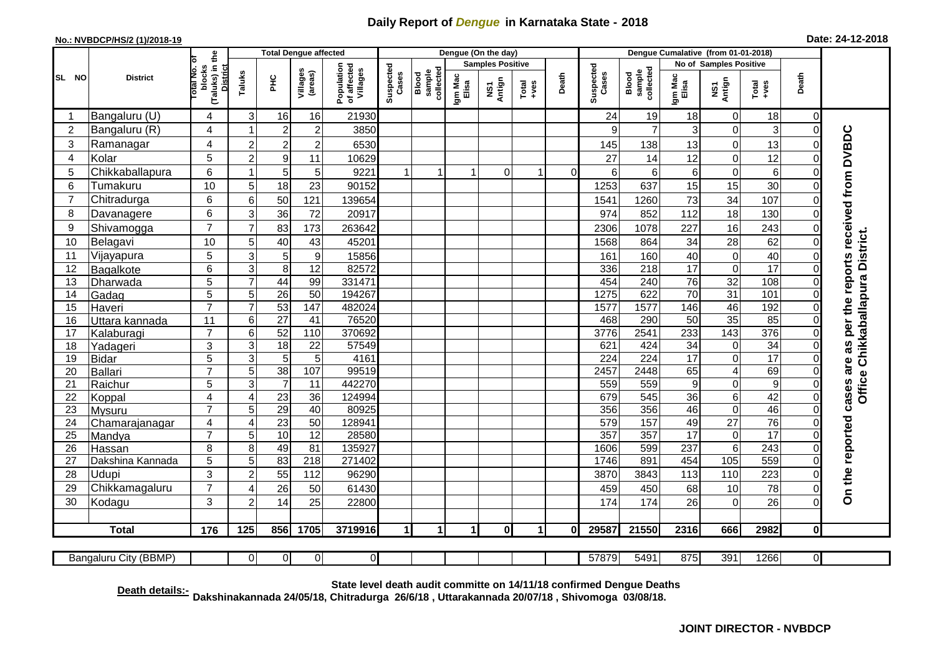## **Daily Report of** *Dengue* **in Karnataka State - 2018**

## **No.: NVBDCP/HS/2 (1)/2018-19**

| Date: 24-12-2018 |  |  |  |  |
|------------------|--|--|--|--|
|------------------|--|--|--|--|

|                       |                                                                                                                                                                                                |                                                            |                 |                  | <b>Total Dengue affected</b> |                                       |                    |                              |                  | Dengue (On the day) |                                                              |              |                    |                              |                                                               |                           |               |                            |                                                  |
|-----------------------|------------------------------------------------------------------------------------------------------------------------------------------------------------------------------------------------|------------------------------------------------------------|-----------------|------------------|------------------------------|---------------------------------------|--------------------|------------------------------|------------------|---------------------|--------------------------------------------------------------|--------------|--------------------|------------------------------|---------------------------------------------------------------|---------------------------|---------------|----------------------------|--------------------------------------------------|
|                       |                                                                                                                                                                                                |                                                            |                 |                  |                              | <b>Samples Positive</b>               |                    |                              |                  |                     |                                                              |              |                    |                              | Dengue Cumalative (from 01-01-2018)<br>No of Samples Positive |                           |               |                            |                                                  |
| SL NO                 | <b>District</b>                                                                                                                                                                                | (Taluks) in the<br>otal No. o<br>blocks<br><b>District</b> | Taluks          | <b>PHC</b>       | Villages<br>(areas)          | Population<br>of affected<br>Villages | Suspected<br>Cases | sample<br>collected<br>Blood | Igm Mac<br>Elisa | NS1<br>Antign       | $\begin{array}{c}\n\text{Total} \\ \text{Area}\n\end{array}$ | Death        | Suspected<br>Cases | Blood<br>sample<br>collected | Igm Mac<br>Elisa                                              | NS1<br>Antign             | Total<br>+ves | Death                      |                                                  |
| $\overline{1}$        | Bangaluru (U)                                                                                                                                                                                  | 4                                                          | 3               | 16               | 16                           | 21930                                 |                    |                              |                  |                     |                                                              |              | 24                 | 19                           | 18                                                            | 0                         | 18            | $\mathbf 0$                |                                                  |
| $\overline{2}$        | Bangaluru (R)                                                                                                                                                                                  | 4                                                          | -1              | $\mathbf 2$      | $\overline{c}$               | 3850                                  |                    |                              |                  |                     |                                                              |              | 9                  | $\overline{7}$               | 3                                                             | $\overline{0}$            | 3             | $\overline{0}$             |                                                  |
| 3                     | Ramanagar                                                                                                                                                                                      | 4                                                          | $\overline{c}$  | $\overline{a}$   | $\overline{c}$               | 6530                                  |                    |                              |                  |                     |                                                              |              | 145                | 138                          | 13                                                            | $\mathbf 0$               | 13            | $\Omega$                   | cases are as per the reports received from DVBDC |
| 4                     | Kolar                                                                                                                                                                                          | 5                                                          | $\overline{2}$  | $\boldsymbol{9}$ | 11                           | 10629                                 |                    |                              |                  |                     |                                                              |              | 27                 | 14                           | 12                                                            | $\mathbf 0$               | 12            | $\mathbf 0$                |                                                  |
| 5                     | Chikkaballapura                                                                                                                                                                                | 6                                                          | $\overline{1}$  | 5                | 5                            | 9221                                  | $\mathbf{1}$       | $\mathbf 1$                  | $\mathbf{1}$     | $\Omega$            | 1                                                            | $\Omega$     | 6                  | $6 \mid$                     | $\,6\,$                                                       | $\mathbf 0$               | $\,6\,$       | $\overline{0}$             |                                                  |
| 6                     | Tumakuru                                                                                                                                                                                       | 10                                                         | 5               | 18               | $\overline{23}$              | 90152                                 |                    |                              |                  |                     |                                                              |              | 1253               | 637                          | 15                                                            | $\overline{15}$           | 30            | $\mathbf 0$                |                                                  |
| $\overline{7}$        | Chitradurga                                                                                                                                                                                    | 6                                                          | 6               | 50               | 121                          | 139654                                |                    |                              |                  |                     |                                                              |              | 1541               | 1260                         | 73                                                            | $\overline{34}$           | 107           | $\Omega$                   |                                                  |
| 8                     | Davanagere                                                                                                                                                                                     | 6                                                          | 3               | 36               | 72                           | 20917                                 |                    |                              |                  |                     |                                                              |              | 974                | 852                          | 112                                                           | 18                        | 130           | $\mathbf 0$                |                                                  |
| 9                     | Shivamogga                                                                                                                                                                                     | $\overline{7}$                                             | $\overline{7}$  | 83               | 173                          | 263642                                |                    |                              |                  |                     |                                                              |              | 2306               | 1078                         | 227                                                           | 16                        | 243           | $\mathbf 0$                |                                                  |
| 10                    | Belagavi                                                                                                                                                                                       | 10                                                         | 5               | 40               | 43                           | 45201                                 |                    |                              |                  |                     |                                                              |              | 1568               | 864                          | 34                                                            | 28                        | 62            | $\mathbf 0$                |                                                  |
| 11                    | Vijayapura                                                                                                                                                                                     | 5                                                          | 3               | 5                | $\boldsymbol{9}$             | 15856                                 |                    |                              |                  |                     |                                                              |              | 161                | 160                          | 40                                                            | $\boldsymbol{0}$          | 40            | $\mathbf 0$                | Office Chikkaballapura District.                 |
| 12                    | Bagalkote                                                                                                                                                                                      | 6                                                          | 3               | 8                | 12                           | 82572                                 |                    |                              |                  |                     |                                                              |              | 336                | 218                          | 17                                                            | $\overline{0}$            | 17            | $\mathbf 0$                |                                                  |
| 13                    | Dharwada                                                                                                                                                                                       | $\overline{5}$                                             |                 | 44               | 99                           | 331471                                |                    |                              |                  |                     |                                                              |              | 454                | 240                          | $\overline{76}$                                               | $\overline{32}$           | 108           | $\mathbf 0$                |                                                  |
| 14                    | Gadag                                                                                                                                                                                          | $\overline{5}$                                             | 5               | $\overline{26}$  | 50                           | 194267                                |                    |                              |                  |                     |                                                              |              | 1275               | 622                          | 70                                                            | $\overline{31}$           | 101           | $\mathbf 0$                |                                                  |
| 15                    | Haveri                                                                                                                                                                                         | $\overline{7}$                                             | $\overline{7}$  | 53               | 147                          | 482024                                |                    |                              |                  |                     |                                                              |              | 1577               | 1577                         | 146                                                           | 46                        | 192           | $\mathbf 0$                |                                                  |
| 16                    | Uttara kannada                                                                                                                                                                                 | 11                                                         | 6               | $\overline{27}$  | $\overline{41}$              | 76520                                 |                    |                              |                  |                     |                                                              |              | 468                | 290                          | 50                                                            | 35                        | 85            | $\mathbf 0$                |                                                  |
| 17                    | Kalaburagi                                                                                                                                                                                     | $\overline{7}$                                             | $6\phantom{1}6$ | 52               | 110                          | 370692                                |                    |                              |                  |                     |                                                              |              | 3776               | 2541                         | 233                                                           | 143                       | 376           | $\mathbf 0$                |                                                  |
| 18                    | Yadageri                                                                                                                                                                                       | 3                                                          | 3               | $\overline{18}$  | $\overline{22}$              | 57549                                 |                    |                              |                  |                     |                                                              |              | 621                | 424                          | $\overline{34}$                                               | $\mathbf 0$               | 34            | $\mathbf 0$                |                                                  |
| 19                    | <b>Bidar</b>                                                                                                                                                                                   | 5                                                          | 3               | 5                | 5                            | 4161                                  |                    |                              |                  |                     |                                                              |              | $\overline{224}$   | 224                          | 17                                                            | $\overline{0}$            | 17            | $\mathbf 0$                |                                                  |
| 20                    | Ballari                                                                                                                                                                                        | $\overline{7}$                                             | 5               | $\overline{38}$  | 107                          | 99519                                 |                    |                              |                  |                     |                                                              |              | 2457               | 2448                         | 65                                                            | 4                         | 69            | $\Omega$                   |                                                  |
| 21                    | Raichur                                                                                                                                                                                        | 5                                                          | 3               | $\overline{7}$   | $\overline{11}$              | 442270                                |                    |                              |                  |                     |                                                              |              | 559                | 559                          | 9                                                             | $\mathbf 0$               | 9             | $\mathbf 0$                |                                                  |
| 22                    | Koppal                                                                                                                                                                                         | 4                                                          | $\overline{4}$  | $\overline{23}$  | 36                           | 124994                                |                    |                              |                  |                     |                                                              |              | 679                | 545                          | $\overline{36}$                                               | 6                         | 42            | $\mathbf 0$                |                                                  |
| 23                    | Mysuru                                                                                                                                                                                         | $\overline{7}$                                             | 5               | 29               | 40                           | 80925                                 |                    |                              |                  |                     |                                                              |              | 356                | 356                          | 46                                                            | $\overline{0}$            | 46            | $\mathbf 0$                |                                                  |
| 24                    | Chamarajanagar                                                                                                                                                                                 | 4                                                          | $\overline{4}$  | 23               | 50                           | 128941                                |                    |                              |                  |                     |                                                              |              | 579                | 157                          | 49                                                            | $\overline{27}$           | 76            | $\mathbf 0$                |                                                  |
| $\overline{25}$<br>26 | Mandya                                                                                                                                                                                         | $\overline{7}$<br>8                                        | 5               | 10<br>49         | 12<br>81                     | 28580<br>135927                       |                    |                              |                  |                     |                                                              |              | 357<br>1606        | 357<br>599                   | 17<br>237                                                     | $\overline{0}$<br>$\,6\,$ | 17<br>243     | $\mathbf 0$<br>$\mathbf 0$ |                                                  |
| 27                    | Hassan<br>Dakshina Kannada                                                                                                                                                                     | 5                                                          | 8<br>5          | 83               | $\overline{218}$             | 271402                                |                    |                              |                  |                     |                                                              |              | 1746               | 891                          | 454                                                           | 105                       | 559           | $\mathbf 0$                |                                                  |
| 28                    | Udupi                                                                                                                                                                                          | 3                                                          | $\overline{c}$  | 55               | 112                          | 96290                                 |                    |                              |                  |                     |                                                              |              | 3870               | 3843                         | 113                                                           | 110                       | 223           | $\mathbf 0$                |                                                  |
| 29                    | Chikkamagaluru                                                                                                                                                                                 | $\overline{7}$                                             | $\overline{A}$  | 26               | 50                           | 61430                                 |                    |                              |                  |                     |                                                              |              | 459                | 450                          | 68                                                            | 10                        | 78            | $\Omega$                   | On the reported                                  |
| 30                    |                                                                                                                                                                                                | 3                                                          |                 |                  | 25                           | 22800                                 |                    |                              |                  |                     |                                                              |              | 174                | 174                          | 26                                                            | $\overline{0}$            | 26            | $\Omega$                   |                                                  |
|                       | Kodagu                                                                                                                                                                                         |                                                            | $\overline{2}$  | 14               |                              |                                       |                    |                              |                  |                     |                                                              |              |                    |                              |                                                               |                           |               |                            |                                                  |
|                       | <b>Total</b>                                                                                                                                                                                   | 176                                                        | 125             | 856              | 1705                         | 3719916                               | 1                  |                              |                  | $\mathbf{0}$        | $\mathbf{1}$                                                 | $\mathbf{0}$ | 29587              | 21550                        | 2316                                                          | 666                       | 2982          | $\bf{0}$                   |                                                  |
|                       | Bangaluru City (BBMP)                                                                                                                                                                          |                                                            | $\overline{0}$  | $\overline{0}$   | 0                            | $\overline{0}$                        |                    |                              |                  |                     |                                                              |              | 57879              | 5491                         | 875                                                           | 391                       | 1266          | $\overline{0}$             |                                                  |
|                       | State level death audit committe on 14/11/18 confirmed Dengue Deaths<br>Death details:-<br>.03/08/18 Dakshinakannada 24/05/18, Chitradurga 26/6/18, Uttarakannada 20/07/18, Shivomoga 03/08/18 |                                                            |                 |                  |                              |                                       |                    |                              |                  |                     |                                                              |              |                    |                              |                                                               |                           |               |                            |                                                  |